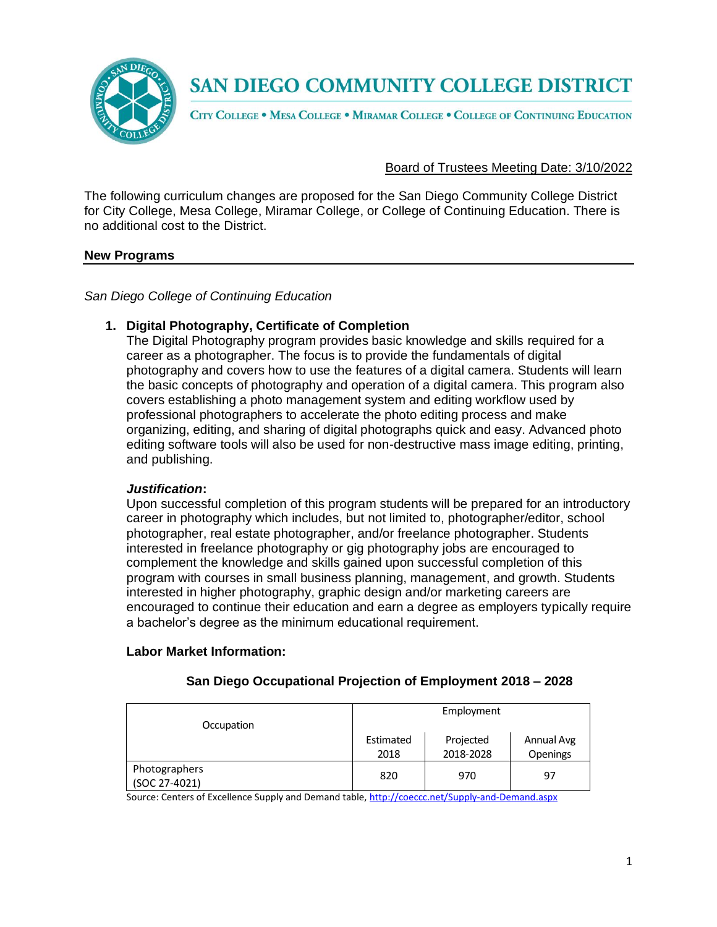

CITY COLLEGE . MESA COLLEGE . MIRAMAR COLLEGE . COLLEGE OF CONTINUING EDUCATION

## Board of Trustees Meeting Date: 3/10/2022

The following curriculum changes are proposed for the San Diego Community College District for City College, Mesa College, Miramar College, or College of Continuing Education. There is no additional cost to the District.

#### **New Programs**

*San Diego College of Continuing Education*

## **1. Digital Photography, Certificate of Completion**

The Digital Photography program provides basic knowledge and skills required for a career as a photographer. The focus is to provide the fundamentals of digital photography and covers how to use the features of a digital camera. Students will learn the basic concepts of photography and operation of a digital camera. This program also covers establishing a photo management system and editing workflow used by professional photographers to accelerate the photo editing process and make organizing, editing, and sharing of digital photographs quick and easy. Advanced photo editing software tools will also be used for non-destructive mass image editing, printing, and publishing.

#### *Justification***:**

Upon successful completion of this program students will be prepared for an introductory career in photography which includes, but not limited to, photographer/editor, school photographer, real estate photographer, and/or freelance photographer. Students interested in freelance photography or gig photography jobs are encouraged to complement the knowledge and skills gained upon successful completion of this program with courses in small business planning, management, and growth. Students interested in higher photography, graphic design and/or marketing careers are encouraged to continue their education and earn a degree as employers typically require a bachelor's degree as the minimum educational requirement.

#### **Labor Market Information:**

| Occupation                     | Employment        |                        |                        |
|--------------------------------|-------------------|------------------------|------------------------|
|                                | Estimated<br>2018 | Projected<br>2018-2028 | Annual Avg<br>Openings |
| Photographers<br>(SOC 27-4021) | 820               | 970                    | 97                     |

## **San Diego Occupational Projection of Employment 2018 – 2028**

Source: Centers of Excellence Supply and Demand table, <http://coeccc.net/Supply-and-Demand.aspx>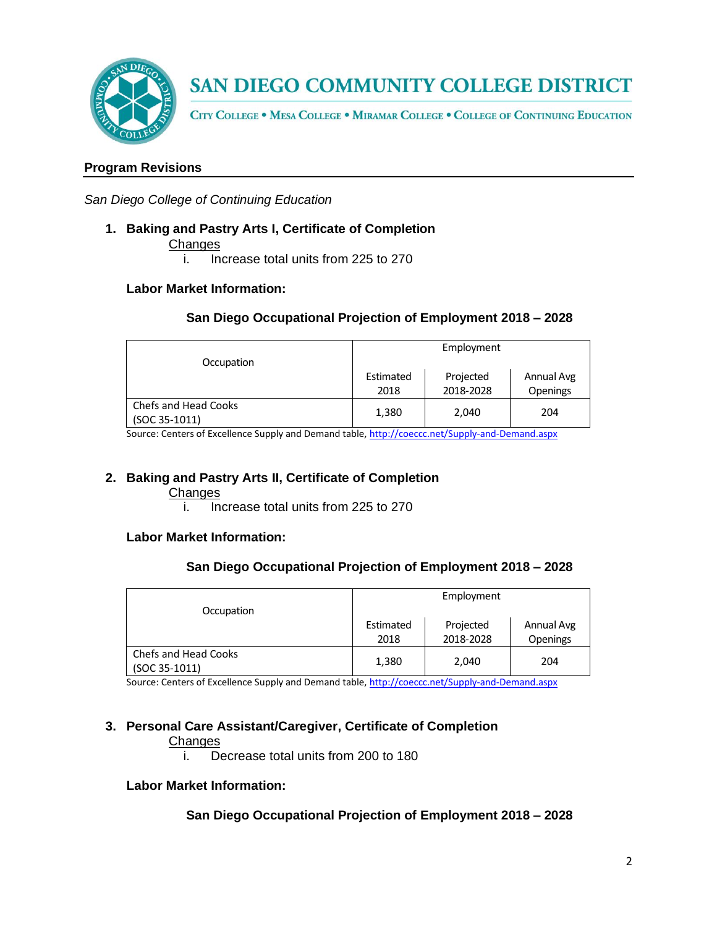

CITY COLLEGE . MESA COLLEGE . MIRAMAR COLLEGE . COLLEGE OF CONTINUING EDUCATION

## **Program Revisions**

*San Diego College of Continuing Education*

**1. Baking and Pastry Arts I, Certificate of Completion**

**Changes** 

i. Increase total units from 225 to 270

## **Labor Market Information:**

## **San Diego Occupational Projection of Employment 2018 – 2028**

| Occupation           | Employment |           |                 |
|----------------------|------------|-----------|-----------------|
|                      | Estimated  | Projected | Annual Avg      |
|                      |            |           |                 |
|                      | 2018       | 2018-2028 | <b>Openings</b> |
| Chefs and Head Cooks |            |           |                 |
| (SOC 35-1011)        | 1,380      | 2,040     | 204             |

Source: Centers of Excellence Supply and Demand table, <http://coeccc.net/Supply-and-Demand.aspx>

## **2. Baking and Pastry Arts II, Certificate of Completion**

**Changes** 

i. Increase total units from 225 to 270

#### **Labor Market Information:**

#### **San Diego Occupational Projection of Employment 2018 – 2028**

| Occupation                                   | Employment        |                        |                               |
|----------------------------------------------|-------------------|------------------------|-------------------------------|
|                                              | Estimated<br>2018 | Projected<br>2018-2028 | Annual Avg<br><b>Openings</b> |
| <b>Chefs and Head Cooks</b><br>(SOC 35-1011) | 1,380             | 2,040                  | 204                           |

Source: Centers of Excellence Supply and Demand table, <http://coeccc.net/Supply-and-Demand.aspx>

#### **3. Personal Care Assistant/Caregiver, Certificate of Completion**

#### **Changes**

i. Decrease total units from 200 to 180

#### **Labor Market Information:**

## **San Diego Occupational Projection of Employment 2018 – 2028**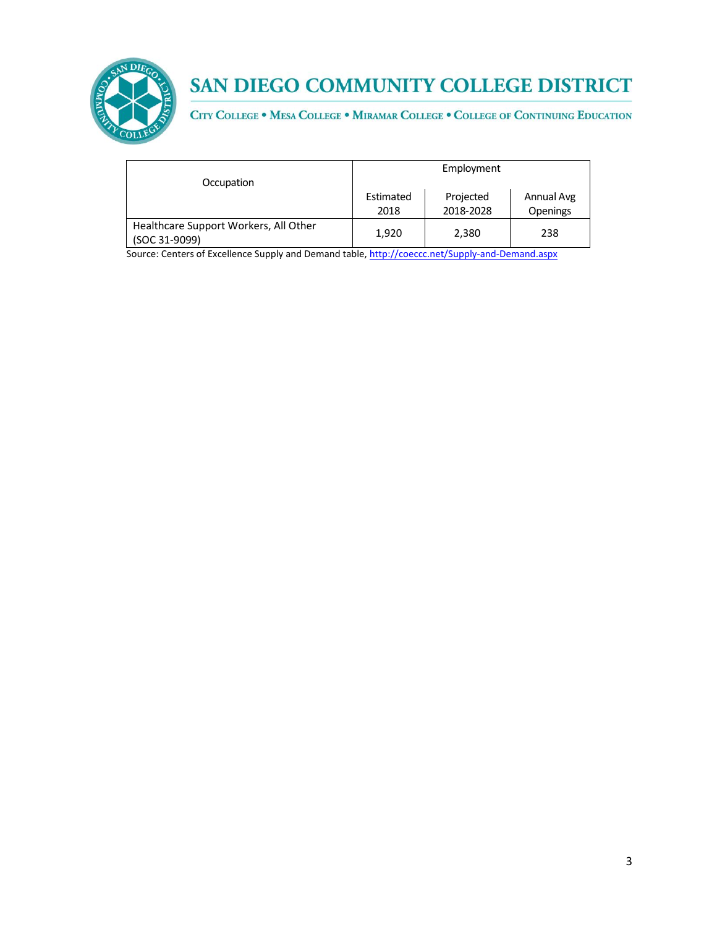

CITY COLLEGE . MESA COLLEGE . MIRAMAR COLLEGE . COLLEGE OF CONTINUING EDUCATION

| Occupation                                             | Employment        |                        |                               |
|--------------------------------------------------------|-------------------|------------------------|-------------------------------|
|                                                        | Estimated<br>2018 | Projected<br>2018-2028 | Annual Avg<br><b>Openings</b> |
| Healthcare Support Workers, All Other<br>(SOC 31-9099) | 1,920             | 2,380                  | 238                           |

Source: Centers of Excellence Supply and Demand table, <http://coeccc.net/Supply-and-Demand.aspx>